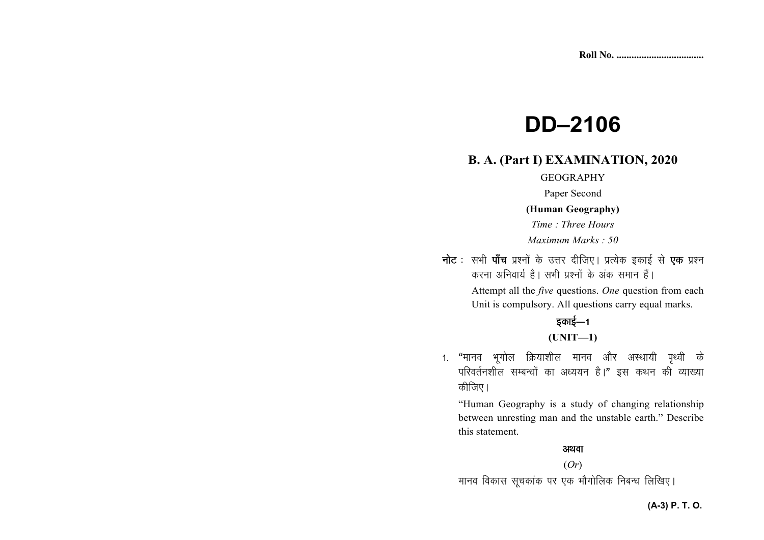# **DD–2106**

## **B. A. (Part I) EXAMINATION, 2020**

#### GEOGRAPHY

Paper Second

#### **(Human Geography)**

*Time : Three Hours Maximum Marks : 50* 

नोट : सभी पाँच प्रश्नों के उत्तर दीजिए। प्रत्येक इकाई से **एक** प्रश्न करना अनिवार्य है। सभी प्रश्नों के अंक समान हैं। Attempt all the *five* questions. *One* question from each Unit is compulsory. All questions carry equal marks.

## डकाई $-1$

#### **(UNIT—1)**

1. "मानव भूगोल क्रियाशील मानव और अस्थायी पृथ्वी के परिवर्तनशील सम्बन्धों का अध्ययन है।" इस कथन की व्याख्या कीजिए।

"Human Geography is a study of changing relationship between unresting man and the unstable earth." Describe this statement.

#### अथवा

#### (*Or*)

मानव विकास सूचकांक पर एक भौगोलिक निबन्ध लिखिए।